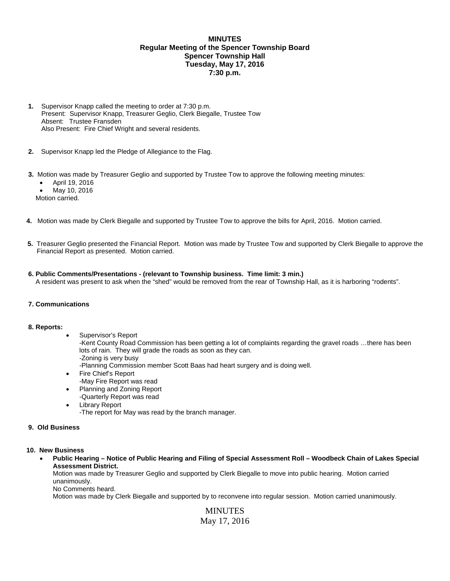# **MINUTES Regular Meeting of the Spencer Township Board Spencer Township Hall Tuesday, May 17, 2016 7:30 p.m.**

- **1.** Supervisor Knapp called the meeting to order at 7:30 p.m. Present: Supervisor Knapp, Treasurer Geglio, Clerk Biegalle, Trustee Tow Absent: Trustee Fransden Also Present: Fire Chief Wright and several residents.
- **2.** Supervisor Knapp led the Pledge of Allegiance to the Flag.
- **3.** Motion was made by Treasurer Geglio and supported by Trustee Tow to approve the following meeting minutes:
	- April 19, 2016
	- May 10, 2016

Motion carried.

- **4.** Motion was made by Clerk Biegalle and supported by Trustee Tow to approve the bills for April, 2016. Motion carried.
- **5.** Treasurer Geglio presented the Financial Report. Motion was made by Trustee Tow and supported by Clerk Biegalle to approve the Financial Report as presented. Motion carried.

## **6. Public Comments/Presentations - (relevant to Township business. Time limit: 3 min.)**

A resident was present to ask when the "shed" would be removed from the rear of Township Hall, as it is harboring "rodents".

### **7. Communications**

### **8. Reports:**

Supervisor's Report

-Kent County Road Commission has been getting a lot of complaints regarding the gravel roads …there has been lots of rain. They will grade the roads as soon as they can.

-Zoning is very busy

-Planning Commission member Scott Baas had heart surgery and is doing well.

- Fire Chief's Report
	- -May Fire Report was read
- Planning and Zoning Report
- -Quarterly Report was read
- Library Report

-The report for May was read by the branch manager.

## **9. Old Business**

### **10. New Business**

## **Public Hearing – Notice of Public Hearing and Filing of Special Assessment Roll – Woodbeck Chain of Lakes Special Assessment District.**

Motion was made by Treasurer Geglio and supported by Clerk Biegalle to move into public hearing. Motion carried unanimously.

No Comments heard.

Motion was made by Clerk Biegalle and supported by to reconvene into regular session. Motion carried unanimously.

MINUTES May 17, 2016